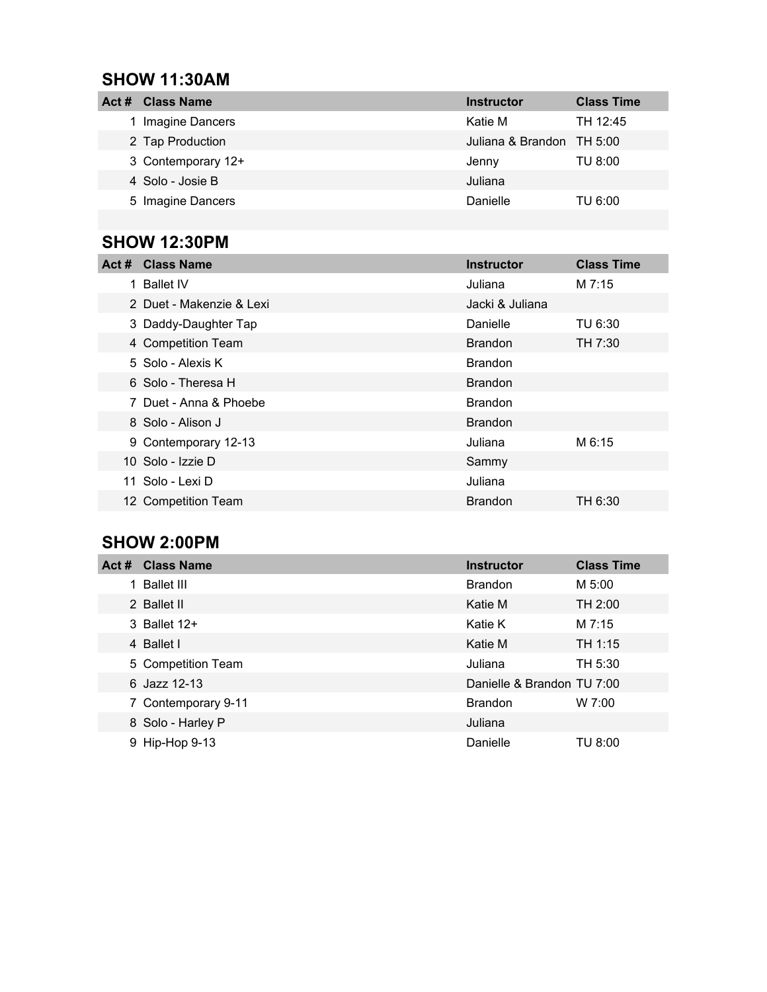# **SHOW 11:30AM**

| Act# | <b>Class Name</b>  | <b>Instructor</b>         | <b>Class Time</b> |
|------|--------------------|---------------------------|-------------------|
|      | Imagine Dancers    | Katie M                   | TH 12:45          |
|      | 2 Tap Production   | Juliana & Brandon TH 5:00 |                   |
|      | 3 Contemporary 12+ | Jenny                     | TU 8:00           |
|      | 4 Solo - Josie B   | Juliana                   |                   |
|      | 5 Imagine Dancers  | Danielle                  | TU 6:00           |
|      |                    |                           |                   |

#### **SHOW 12:30PM**

| Act# | <b>Class Name</b>        | <b>Instructor</b> | <b>Class Time</b> |
|------|--------------------------|-------------------|-------------------|
|      | 1 Ballet IV              | Juliana           | M 7:15            |
|      | 2 Duet - Makenzie & Lexi | Jacki & Juliana   |                   |
|      | 3 Daddy-Daughter Tap     | Danielle          | TU 6:30           |
|      | 4 Competition Team       | <b>Brandon</b>    | TH 7:30           |
|      | 5 Solo - Alexis K        | <b>Brandon</b>    |                   |
|      | 6 Solo - Theresa H       | <b>Brandon</b>    |                   |
|      | 7 Duet - Anna & Phoebe   | <b>Brandon</b>    |                   |
|      | 8 Solo - Alison J        | <b>Brandon</b>    |                   |
|      | 9 Contemporary 12-13     | Juliana           | M 6:15            |
|      | 10 Solo - Izzie D        | Sammy             |                   |
|      | 11 Solo - Lexi D         | Juliana           |                   |
|      | 12 Competition Team      | <b>Brandon</b>    | TH 6:30           |
|      |                          |                   |                   |

# **SHOW 2:00PM**

| Act# | <b>Class Name</b>   | <b>Instructor</b>          | <b>Class Time</b> |
|------|---------------------|----------------------------|-------------------|
|      | 1 Ballet III        | <b>Brandon</b>             | M 5:00            |
|      | 2 Ballet II         | Katie M                    | TH 2:00           |
|      | 3 Ballet $12+$      | Katie K                    | M 7:15            |
|      | 4 Ballet I          | Katie M                    | TH 1:15           |
|      | 5 Competition Team  | Juliana                    | TH 5:30           |
|      | $6$ Jazz 12-13      | Danielle & Brandon TU 7:00 |                   |
|      | 7 Contemporary 9-11 | <b>Brandon</b>             | $W$ 7:00          |
|      | 8 Solo - Harley P   | Juliana                    |                   |
|      | 9 Hip-Hop 9-13      | Danielle                   | TU 8:00           |